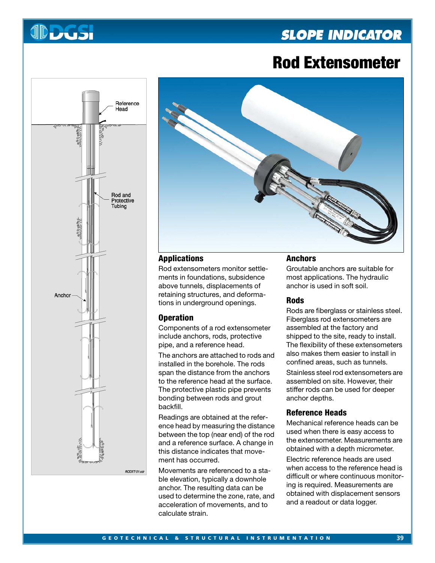# **SLOPE INDICATOR**





**JDDUSI** 



# **Applications**

Rod extensometers monitor settlements in foundations, subsidence above tunnels, displacements of retaining structures, and deformations in underground openings.

#### **Operation**

Components of a rod extensometer include anchors, rods, protective pipe, and a reference head.

The anchors are attached to rods and installed in the borehole. The rods span the distance from the anchors to the reference head at the surface. The protective plastic pipe prevents bonding between rods and grout backfill.

Readings are obtained at the reference head by measuring the distance between the top (near end) of the rod and a reference surface. A change in this distance indicates that movement has occurred.

Movements are referenced to a stable elevation, typically a downhole anchor. The resulting data can be used to determine the zone, rate, and acceleration of movements, and to calculate strain.

# **Anchors**

Groutable anchors are suitable for most applications. The hydraulic anchor is used in soft soil.

#### **Rods**

Rods are fiberglass or stainless steel. Fiberglass rod extensometers are assembled at the factory and shipped to the site, ready to install. The flexibility of these extensometers also makes them easier to install in confined areas, such as tunnels.

Stainless steel rod extensometers are assembled on site. However, their stiffer rods can be used for deeper anchor depths.

## **Reference Heads**

Mechanical reference heads can be used when there is easy access to the extensometer. Measurements are obtained with a depth micrometer.

Electric reference heads are used when access to the reference head is difficult or where continuous monitoring is required. Measurements are obtained with displacement sensors and a readout or data logger.